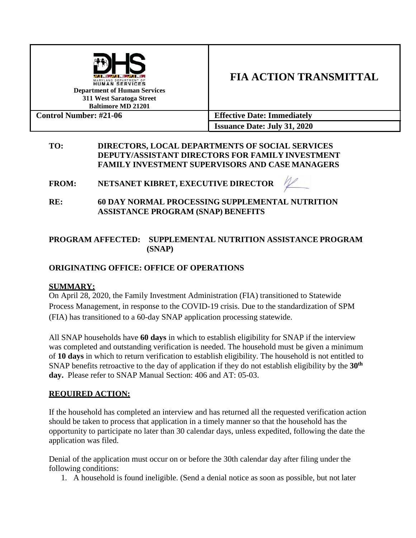

# **FIA ACTION TRANSMITTAL**

**Control Number: #21-06 Effective Date: Immediately Issuance Date: July 31, 2020**

## **TO: DIRECTORS, LOCAL DEPARTMENTS OF SOCIAL SERVICES DEPUTY/ASSISTANT DIRECTORS FOR FAMILY INVESTMENT FAMILY INVESTMENT SUPERVISORS AND CASE MANAGERS**

**FROM: NETSANET KIBRET, EXECUTIVE DIRECTOR** 

## **RE: 60 DAY NORMAL PROCESSING SUPPLEMENTAL NUTRITION ASSISTANCE PROGRAM (SNAP) BENEFITS**

## **PROGRAM AFFECTED: SUPPLEMENTAL NUTRITION ASSISTANCE PROGRAM (SNAP)**

## **ORIGINATING OFFICE: OFFICE OF OPERATIONS**

## **SUMMARY:**

On April 28, 2020, the Family Investment Administration (FIA) transitioned to Statewide Process Management, in response to the COVID-19 crisis. Due to the standardization of SPM (FIA) has transitioned to a 60-day SNAP application processing statewide.

All SNAP households have **60 days** in which to establish eligibility for SNAP if the interview was completed and outstanding verification is needed. The household must be given a minimum of **10 days** in which to return verification to establish eligibility. The household is not entitled to SNAP benefits retroactive to the day of application if they do not establish eligibility by the **30th day.** Please refer to SNAP Manual Section: 406 and AT: 05-03.

## **REQUIRED ACTION:**

If the household has completed an interview and has returned all the requested verification action should be taken to process that application in a timely manner so that the household has the opportunity to participate no later than 30 calendar days, unless expedited, following the date the application was filed.

Denial of the application must occur on or before the 30th calendar day after filing under the following conditions:

1. A household is found ineligible. (Send a denial notice as soon as possible, but not later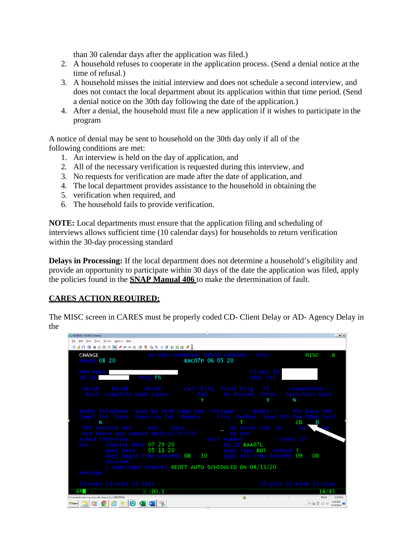than 30 calendar days after the application was filed.)

- 2. A household refuses to cooperate in the application process. (Send a denial notice at the time of refusal.)
- 3. A household misses the initial interview and does not schedule a second interview, and does not contact the local department about its application within that time period. (Send a denial notice on the 30th day following the date of the application.)
- 4. After a denial, the household must file a new application if it wishes to participate in the program

A notice of denial may be sent to household on the 30th day only if all of the following conditions are met:

- 1. An interview is held on the day of application, and
- 2. All of the necessary verification is requested during this interview, and
- 3. No requests for verification are made after the date of application, and
- 4. The local department provides assistance to the household in obtaining the
- 5. verification when required, and
- 6. The household fails to provide verification.

**NOTE:** Local departments must ensure that the application filing and scheduling of interviews allows sufficient time (10 calendar days) for households to return verification within the 30-day processing standard

**Delays in Processing:** If the local department does not determine a household's eligibility and provide an opportunity to participate within 30 days of the date the application was filed, apply the policies found in the **SNAP Manual 406** to make the determination of fault.

#### **CARES ACTION REQUIRED:**

The MISC screen in CARES must be properly coded CD- Client Delay or AD- Agency Delay in the

| SESSION1 - EXTRA! X-treme                                                                                         | $ B$ $x$                                                                                                                                                                                                              |
|-------------------------------------------------------------------------------------------------------------------|-----------------------------------------------------------------------------------------------------------------------------------------------------------------------------------------------------------------------|
| File Edit View Tools Session Options Help                                                                         |                                                                                                                                                                                                                       |
| <b>DARA * 200 5 4 4 - 4 4 5 6 5 6 6 6 6 6 6 6 7 8 9 8</b>                                                         |                                                                                                                                                                                                                       |
| <b>CHANGE</b><br>Month 08 20                                                                                      | AU NON-FINANCIAL MISCELLANEOUS - MISC<br>MISC<br>B<br>RAC07P 06 05 20                                                                                                                                                 |
| HOH Name<br>AU ID<br>Prog FS                                                                                      | Client ID<br>SAIL Ctl                                                                                                                                                                                                 |
|                                                                                                                   | $MR/QR$ $MR/QR$ $MR/QR$ calcelig Trialelig FS --Expedited---<br>Recd Complete Good Cause Thd The Increm Intyw Serv Disc Date<br>N                                                                                     |
| PPI Service Ref Rsn Date<br>Are there any unpaid medical bills?<br>Sched Interview                                | Redet Telephone Auto Re SLAM Lump Sum Presump -----Redet------ Dly Days QMB<br>Compl Int Date Override Ind Remain    Elig Method Send EDD Rsn ODue Ovrd<br>CD<br>$\overline{0}$<br>QA Error Ind QC SR<br>AR<br>MA Ext |
| Del Inquiry Date 07 29 20<br>Session :                                                                            | EW ID RAA07L<br>Appt Date 05 11 20 Appt Type RDT Method T<br>Appt Begin Time (HH:MM) 08 : 30 Appt End Time (HH:MM) 09 : 00<br>L Name/Appt Remarks REDET AUTO SCHEDULED ON 04/13/20                                    |
| Message                                                                                                           |                                                                                                                                                                                                                       |
| 13-note 14-schs 15-lett                                                                                           | 20-gint 21-mish 23-alau                                                                                                                                                                                               |
| $\sqrt{6}$ : 00.1                                                                                                 | 14/45                                                                                                                                                                                                                 |
| Connected to host sessions.dhr.state.md.us (S00XT006)                                                             | ொ<br><b>NUM</b><br>4:26 PM                                                                                                                                                                                            |
| $\Box$ or $\circ$<br>$\blacksquare$ $\blacksquare$ $\blacksquare$ $\blacksquare$<br>$\bigoplus$<br><b>FyStart</b> | 4:26 PM<br>* 尾野 如 (4)<br>7/29/2020                                                                                                                                                                                    |